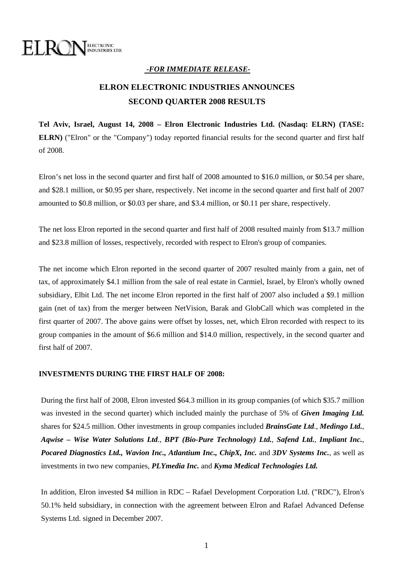

### *-FOR IMMEDIATE RELEASE-*

# **ELRON ELECTRONIC INDUSTRIES ANNOUNCES SECOND QUARTER 2008 RESULTS**

**Tel Aviv, Israel, August 14, 2008 – Elron Electronic Industries Ltd. (Nasdaq: ELRN) (TASE: ELRN)** ("Elron" or the "Company") today reported financial results for the second quarter and first half of 2008.

Elron's net loss in the second quarter and first half of 2008 amounted to \$16.0 million, or \$0.54 per share, and \$28.1 million, or \$0.95 per share, respectively. Net income in the second quarter and first half of 2007 amounted to \$0.8 million, or \$0.03 per share, and \$3.4 million, or \$0.11 per share, respectively.

The net loss Elron reported in the second quarter and first half of 2008 resulted mainly from \$13.7 million and \$23.8 million of losses, respectively, recorded with respect to Elron's group of companies.

The net income which Elron reported in the second quarter of 2007 resulted mainly from a gain, net of tax, of approximately \$4.1 million from the sale of real estate in Carmiel, Israel, by Elron's wholly owned subsidiary, Elbit Ltd. The net income Elron reported in the first half of 2007 also included a \$9.1 million gain (net of tax) from the merger between NetVision, Barak and GlobCall which was completed in the first quarter of 2007. The above gains were offset by losses, net, which Elron recorded with respect to its group companies in the amount of \$6.6 million and \$14.0 million, respectively, in the second quarter and first half of 2007.

#### **INVESTMENTS DURING THE FIRST HALF OF 2008:**

During the first half of 2008, Elron invested \$64.3 million in its group companies (of which \$35.7 million was invested in the second quarter) which included mainly the purchase of 5% of *Given Imaging Ltd.* shares for \$24.5 million. Other investments in group companies included *BrainsGate Ltd*., *Medingo Ltd.*, *Aqwise – Wise Water Solutions Ltd*., *BPT (Bio-Pure Technology) Ltd.*, *Safend Ltd.*, *Impliant Inc.*, *Pocared Diagnostics Ltd., Wavion Inc., Atlantium Inc., ChipX, Inc.* and *3DV Systems Inc.*, as well as investments in two new companies, *PLYmedia Inc.* and *Kyma Medical Technologies Ltd.* 

In addition, Elron invested \$4 million in RDC – Rafael Development Corporation Ltd. ("RDC"), Elron's 50.1% held subsidiary, in connection with the agreement between Elron and Rafael Advanced Defense Systems Ltd. signed in December 2007.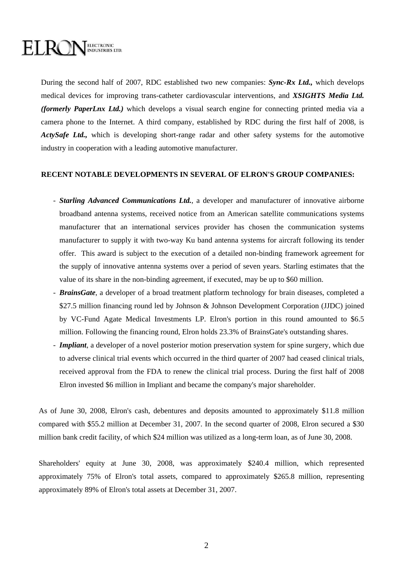## ELECTRONIC<br>INDUSTRIES LTD. ELROI

During the second half of 2007, RDC established two new companies: *Sync-Rx Ltd.,* which develops medical devices for improving trans-catheter cardiovascular interventions, and *XSIGHTS Media Ltd. (formerly PaperLnx Ltd.)* which develops a visual search engine for connecting printed media via a camera phone to the Internet. A third company, established by RDC during the first half of 2008, is *ActySafe Ltd.*, which is developing short-range radar and other safety systems for the automotive industry in cooperation with a leading automotive manufacturer.

#### **RECENT NOTABLE DEVELOPMENTS IN SEVERAL OF ELRON'S GROUP COMPANIES:**

- *Starling Advanced Communications Ltd.*, a developer and manufacturer of innovative airborne broadband antenna systems, received notice from an American satellite communications systems manufacturer that an international services provider has chosen the communication systems manufacturer to supply it with two-way Ku band antenna systems for aircraft following its tender offer. This award is subject to the execution of a detailed non-binding framework agreement for the supply of innovative antenna systems over a period of seven years. Starling estimates that the value of its share in the non-binding agreement, if executed, may be up to \$60 million.
- *BrainsGate*, a developer of a broad treatment platform technology for brain diseases, completed a \$27.5 million financing round led by Johnson & Johnson Development Corporation (JJDC) joined by VC-Fund Agate Medical Investments LP. Elron's portion in this round amounted to \$6.5 million. Following the financing round, Elron holds 23.3% of BrainsGate's outstanding shares.
- *Impliant*, a developer of a novel posterior motion preservation system for spine surgery, which due to adverse clinical trial events which occurred in the third quarter of 2007 had ceased clinical trials, received approval from the FDA to renew the clinical trial process. During the first half of 2008 Elron invested \$6 million in Impliant and became the company's major shareholder.

As of June 30, 2008, Elron's cash, debentures and deposits amounted to approximately \$11.8 million compared with \$55.2 million at December 31, 2007. In the second quarter of 2008, Elron secured a \$30 million bank credit facility, of which \$24 million was utilized as a long-term loan, as of June 30, 2008.

Shareholders' equity at June 30, 2008, was approximately \$240.4 million, which represented approximately 75% of Elron's total assets, compared to approximately \$265.8 million, representing approximately 89% of Elron's total assets at December 31, 2007.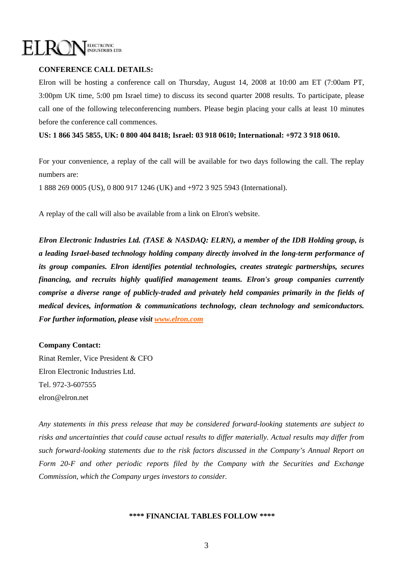

#### **CONFERENCE CALL DETAILS:**

Elron will be hosting a conference call on Thursday, August 14, 2008 at 10:00 am ET (7:00am PT, 3:00pm UK time, 5:00 pm Israel time) to discuss its second quarter 2008 results. To participate, please call one of the following teleconferencing numbers. Please begin placing your calls at least 10 minutes before the conference call commences.

**US: 1 866 345 5855, UK: 0 800 404 8418; Israel: 03 918 0610; International: +972 3 918 0610.** 

For your convenience, a replay of the call will be available for two days following the call. The replay numbers are:

1 888 269 0005 (US), 0 800 917 1246 (UK) and +972 3 925 5943 (International).

A replay of the call will also be available from a link on Elron's website.

*Elron Electronic Industries Ltd. (TASE & NASDAQ: ELRN), a member of the IDB Holding group, is a leading Israel-based technology holding company directly involved in the long-term performance of its group companies. Elron identifies potential technologies, creates strategic partnerships, secures financing, and recruits highly qualified management teams. Elron's group companies currently comprise a diverse range of publicly-traded and privately held companies primarily in the fields of medical devices, information & communications technology, clean technology and semiconductors. For further information, please visit [www.elron.com](http://www.elron.com/)* 

#### **Company Contact:**

Rinat Remler, Vice President & CFO Elron Electronic Industries Ltd. Tel. 972-3-607555 elron@elron.net

*Any statements in this press release that may be considered forward-looking statements are subject to risks and uncertainties that could cause actual results to differ materially. Actual results may differ from such forward-looking statements due to the risk factors discussed in the Company's Annual Report on Form 20-F and other periodic reports filed by the Company with the Securities and Exchange Commission, which the Company urges investors to consider.* 

#### **\*\*\*\* FINANCIAL TABLES FOLLOW \*\*\*\***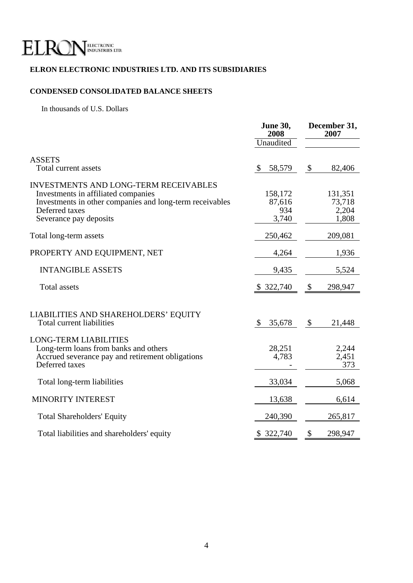

### **ELRON ELECTRONIC INDUSTRIES LTD. AND ITS SUBSIDIARIES**

# **CONDENSED CONSOLIDATED BALANCE SHEETS**

In thousands of U.S. Dollars

|                                                                                                                                                                                             | <b>June 30,</b><br>2008           | December 31,<br>2007 |                                     |
|---------------------------------------------------------------------------------------------------------------------------------------------------------------------------------------------|-----------------------------------|----------------------|-------------------------------------|
|                                                                                                                                                                                             | Unaudited                         |                      |                                     |
| <b>ASSETS</b><br>Total current assets                                                                                                                                                       | $\mathbb{S}$<br>58,579            | $\mathcal{S}$        | 82,406                              |
| <b>INVESTMENTS AND LONG-TERM RECEIVABLES</b><br>Investments in affiliated companies<br>Investments in other companies and long-term receivables<br>Deferred taxes<br>Severance pay deposits | 158,172<br>87,616<br>934<br>3,740 |                      | 131,351<br>73,718<br>2,204<br>1,808 |
| Total long-term assets                                                                                                                                                                      | 250,462                           |                      | 209,081                             |
| PROPERTY AND EQUIPMENT, NET                                                                                                                                                                 | 4,264                             |                      | 1,936                               |
| <b>INTANGIBLE ASSETS</b>                                                                                                                                                                    | 9,435                             |                      | 5,524                               |
| <b>Total assets</b>                                                                                                                                                                         | \$322,740                         | $\mathcal{S}$        | 298,947                             |
| LIABILITIES AND SHAREHOLDERS' EQUITY<br>Total current liabilities                                                                                                                           | \$.<br>35,678                     | \$                   | 21,448                              |
| <b>LONG-TERM LIABILITIES</b><br>Long-term loans from banks and others<br>Accrued severance pay and retirement obligations<br>Deferred taxes                                                 | 28,251<br>4,783                   |                      | 2,244<br>2,451<br>373               |
| Total long-term liabilities                                                                                                                                                                 | 33,034                            |                      | 5,068                               |
| MINORITY INTEREST                                                                                                                                                                           | 13,638                            |                      | 6,614                               |
| <b>Total Shareholders' Equity</b>                                                                                                                                                           | 240,390                           |                      | 265,817                             |
| Total liabilities and shareholders' equity                                                                                                                                                  | 322,740<br>\$                     | \$                   | 298,947                             |